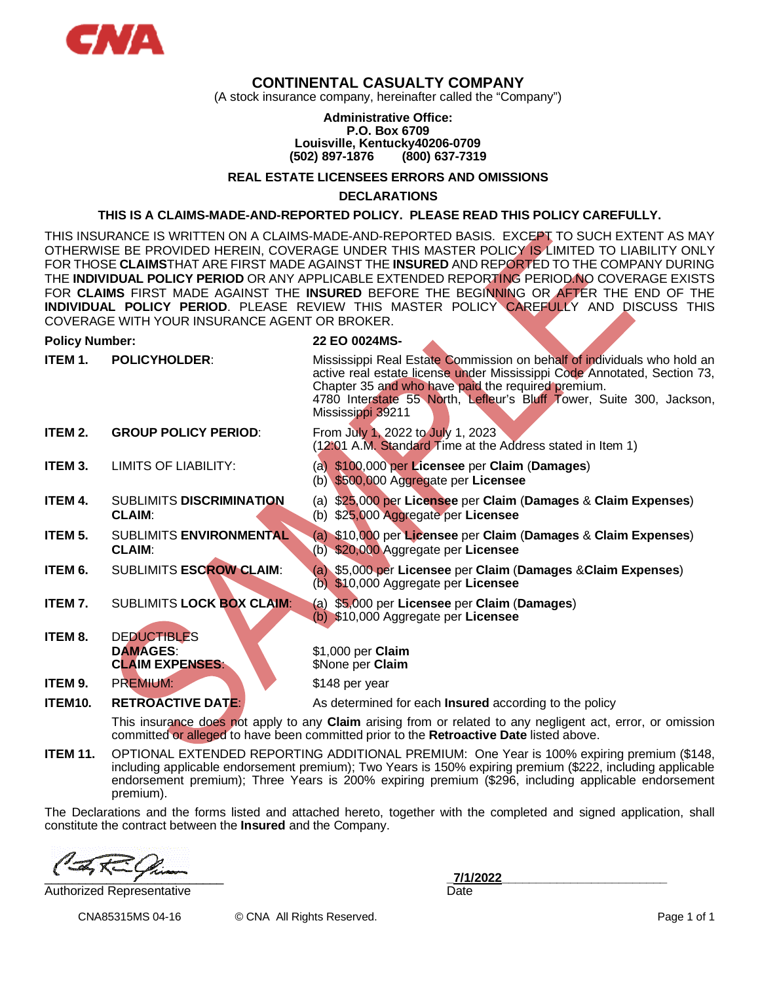

# **CONTINENTAL CASUALTY COMPANY**

(A stock insurance company, hereinafter called the "Company")

#### **Administrative Office: P.O. Box 6709 Louisville, Kentucky40206-0709 (502) 897-1876 (800) 637-7319**

## **REAL ESTATE LICENSEES ERRORS AND OMISSIONS**

**DECLARATIONS**

#### **THIS IS A CLAIMS-MADE-AND-REPORTED POLICY. PLEASE READ THIS POLICY CAREFULLY.**

THIS INSURANCE IS WRITTEN ON A CLAIMS-MADE-AND-REPORTED BASIS. EXCEPT TO SUCH EXTENT AS MAY OTHERWISE BE PROVIDED HEREIN, COVERAGE UNDER THIS MASTER POLICY IS LIMITED TO LIABILITY ONLY FOR THOSE **CLAIMS**THAT ARE FIRST MADE AGAINST THE **INSURED** AND REPORTED TO THE COMPANY DURING THE **INDIVIDUAL POLICY PERIOD** OR ANY APPLICABLE EXTENDED REPORTING PERIOD.NO COVERAGE EXISTS FOR **CLAIMS** FIRST MADE AGAINST THE **INSURED** BEFORE THE BEGINNING OR AFTER THE END OF THE **INDIVIDUAL POLICY PERIOD**. PLEASE REVIEW THIS MASTER POLICY CAREFULLY AND DISCUSS THIS COVERAGE WITH YOUR INSURANCE AGENT OR BROKER.

#### **Policy Number: 22 EO 0024MS-**

| ITEM 1. | <b>POLICYHOLDER:</b>                                            | Mississippi Real Estate Commission on behalf of individuals who hold an<br>active real estate license under Mississippi Code Annotated, Section 73,<br>Chapter 35 and who have paid the required premium.<br>4780 Interstate 55 North, Lefleur's Bluff Tower, Suite 300, Jackson,<br>Mississippi 39211 |
|---------|-----------------------------------------------------------------|--------------------------------------------------------------------------------------------------------------------------------------------------------------------------------------------------------------------------------------------------------------------------------------------------------|
| ITEM 2. | <b>GROUP POLICY PERIOD:</b>                                     | From July 1, 2022 to July 1, 2023<br>(12:01 A.M. Standard Time at the Address stated in Item 1)                                                                                                                                                                                                        |
| ITEM 3. | LIMITS OF LIABILITY:                                            | (a) \$100,000 per Licensee per Claim (Damages)<br>(b) \$500,000 Aggregate per Licensee                                                                                                                                                                                                                 |
| ITEM 4. | <b>SUBLIMITS DISCRIMINATION</b><br><b>CLAIM:</b>                | (a) \$25,000 per Licensee per Claim (Damages & Claim Expenses)<br>(b) \$25,000 Aggregate per Licensee                                                                                                                                                                                                  |
| ITEM 5. | SUBLIMITS ENVIRONMENTAL<br><b>CLAIM:</b>                        | (a) \$10,000 per Licensee per Claim (Damages & Claim Expenses)<br>(b) \$20,000 Aggregate per Licensee                                                                                                                                                                                                  |
| ITEM 6. | <b>SUBLIMITS ESCROW CLAIM:</b>                                  | (a) \$5,000 per Licensee per Claim (Damages & Claim Expenses)<br>(b) \$10,000 Aggregate per Licensee                                                                                                                                                                                                   |
| ITEM 7. | <b>SUBLIMITS LOCK BOX CLAIM:</b>                                | (a) \$5,000 per Licensee per Claim (Damages)<br>(b) \$10,000 Aggregate per Licensee                                                                                                                                                                                                                    |
| ITEM 8. | <b>DEDUCTIBLES</b><br><b>DAMAGES:</b><br><b>CLAIM EXPENSES:</b> | \$1,000 per Claim<br>\$None per Claim                                                                                                                                                                                                                                                                  |
| ITEM 9. | <b>PREMIUM:</b>                                                 | \$148 per year                                                                                                                                                                                                                                                                                         |
| ITEM10. | <b>RETROACTIVE DATE:</b>                                        | As determined for each <b>Insured</b> according to the policy                                                                                                                                                                                                                                          |
|         |                                                                 |                                                                                                                                                                                                                                                                                                        |

This insurance does not apply to any **Claim** arising from or related to any negligent act, error, or omission committed or alleged to have been committed prior to the **Retroactive Date** listed above.

**ITEM 11.** OPTIONAL EXTENDED REPORTING ADDITIONAL PREMIUM: One Year is 100% expiring premium (\$148, including applicable endorsement premium); Two Years is 150% expiring premium (\$222, including applicable endorsement premium); Three Years is 200% expiring premium (\$296, including applicable endorsement premium).

The Declarations and the forms listed and attached hereto, together with the completed and signed application, shall constitute the contract between the **Insured** and the Company.

\_\_\_\_\_\_\_\_\_\_\_\_\_\_\_\_\_\_\_\_\_\_\_\_\_\_ **\_7/1/2022\_\_\_\_\_\_\_\_\_\_\_\_\_\_\_\_\_\_\_\_\_\_\_\_**

Authorized Representative **Date** Date **Date** 

CNA85315MS 04-16 © CNA All Rights Reserved. Page 1 of 1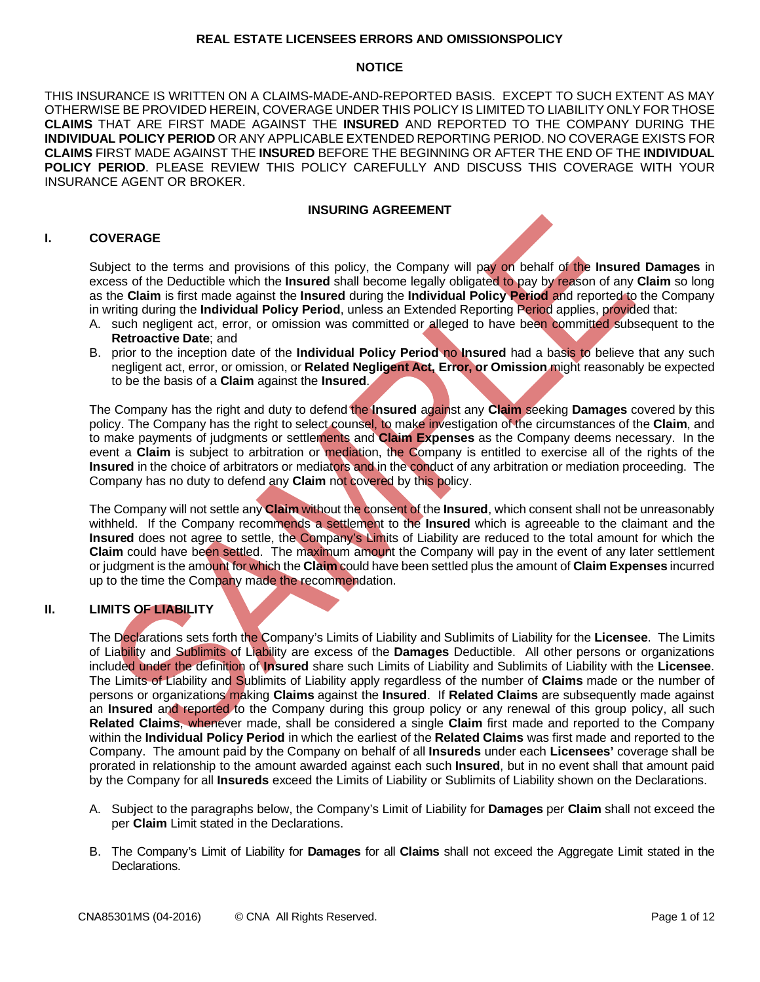#### **REAL ESTATE LICENSEES ERRORS AND OMISSIONSPOLICY**

## **NOTICE**

THIS INSURANCE IS WRITTEN ON A CLAIMS-MADE-AND-REPORTED BASIS. EXCEPT TO SUCH EXTENT AS MAY OTHERWISE BE PROVIDED HEREIN, COVERAGE UNDER THIS POLICY IS LIMITED TO LIABILITY ONLY FOR THOSE **CLAIMS** THAT ARE FIRST MADE AGAINST THE **INSURED** AND REPORTED TO THE COMPANY DURING THE **INDIVIDUAL POLICY PERIOD** OR ANY APPLICABLE EXTENDED REPORTING PERIOD. NO COVERAGE EXISTS FOR **CLAIMS** FIRST MADE AGAINST THE **INSURED** BEFORE THE BEGINNING OR AFTER THE END OF THE **INDIVIDUAL POLICY PERIOD**. PLEASE REVIEW THIS POLICY CAREFULLY AND DISCUSS THIS COVERAGE WITH YOUR INSURANCE AGENT OR BROKER.

## **INSURING AGREEMENT**

# **I. COVERAGE**

Subject to the terms and provisions of this policy, the Company will pay on behalf of the **Insured Damages** in excess of the Deductible which the **Insured** shall become legally obligated to pay by reason of any **Claim** so long as the **Claim** is first made against the **Insured** during the **Individual Policy Period** and reported to the Company in writing during the **Individual Policy Period**, unless an Extended Reporting Period applies, provided that:

- A. such negligent act, error, or omission was committed or alleged to have been committed subsequent to the **Retroactive Date**; and
- B. prior to the inception date of the **Individual Policy Period** no **Insured** had a basis to believe that any such negligent act, error, or omission, or **Related Negligent Act, Error, or Omission** might reasonably be expected to be the basis of a **Claim** against the **Insured**.

The Company has the right and duty to defend the **Insured** against any **Claim** seeking **Damages** covered by this policy. The Company has the right to select counsel, to make investigation of the circumstances of the **Claim**, and to make payments of judgments or settlements and **Claim Expenses** as the Company deems necessary. In the event a **Claim** is subject to arbitration or mediation, the Company is entitled to exercise all of the rights of the **Insured** in the choice of arbitrators or mediators and in the conduct of any arbitration or mediation proceeding. The Company has no duty to defend any **Claim** not covered by this policy.

The Company will not settle any **Claim** without the consent of the **Insured**, which consent shall not be unreasonably withheld. If the Company recommends a settlement to the **Insured** which is agreeable to the claimant and the **Insured** does not agree to settle, the Company's Limits of Liability are reduced to the total amount for which the **Claim** could have been settled. The maximum amount the Company will pay in the event of any later settlement or judgment is the amount for which the **Claim** could have been settled plus the amount of **Claim Expenses** incurred up to the time the Company made the recommendation.

# **II. LIMITS OF LIABILITY**

The Declarations sets forth the Company's Limits of Liability and Sublimits of Liability for the **Licensee**. The Limits of Liability and Sublimits of Liability are excess of the **Damages** Deductible. All other persons or organizations included under the definition of **Insured** share such Limits of Liability and Sublimits of Liability with the **Licensee**. The Limits of Liability and Sublimits of Liability apply regardless of the number of **Claims** made or the number of persons or organizations making **Claims** against the **Insured**. If **Related Claims** are subsequently made against an **Insured** and reported to the Company during this group policy or any renewal of this group policy, all such **Related Claims**, whenever made, shall be considered a single **Claim** first made and reported to the Company within the **Individual Policy Period** in which the earliest of the **Related Claims** was first made and reported to the Company. The amount paid by the Company on behalf of all **Insureds** under each **Licensees'** coverage shall be prorated in relationship to the amount awarded against each such **Insured**, but in no event shall that amount paid by the Company for all **Insureds** exceed the Limits of Liability or Sublimits of Liability shown on the Declarations.

- A. Subject to the paragraphs below, the Company's Limit of Liability for **Damages** per **Claim** shall not exceed the per **Claim** Limit stated in the Declarations.
- B. The Company's Limit of Liability for **Damages** for all **Claims** shall not exceed the Aggregate Limit stated in the Declarations.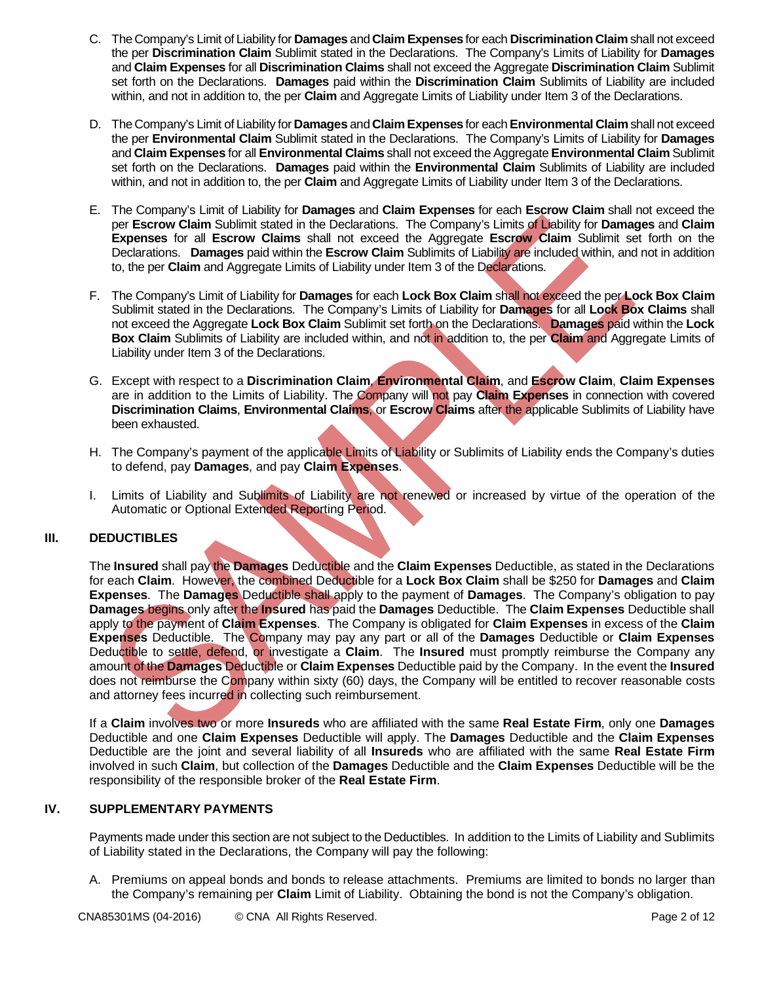- C. The Company's Limit of Liability for **Damages** and **Claim Expenses** for each **Discrimination Claim** shall not exceed the per **Discrimination Claim** Sublimit stated in the Declarations. The Company's Limits of Liability for **Damages** and **Claim Expenses** for all **Discrimination Claims** shall not exceed the Aggregate **Discrimination Claim** Sublimit set forth on the Declarations. **Damages** paid within the **Discrimination Claim** Sublimits of Liability are included within, and not in addition to, the per **Claim** and Aggregate Limits of Liability under Item 3 of the Declarations.
- D. The Company's Limit of Liability for **Damages** and **Claim Expenses** for each**Environmental Claim** shall not exceed the per **Environmental Claim** Sublimit stated in the Declarations. The Company's Limits of Liability for **Damages** and **Claim Expenses** for all **Environmental Claims** shall not exceed the Aggregate **Environmental Claim** Sublimit set forth on the Declarations. **Damages** paid within the **Environmental Claim** Sublimits of Liability are included within, and not in addition to, the per **Claim** and Aggregate Limits of Liability under Item 3 of the Declarations.
- E. The Company's Limit of Liability for **Damages** and **Claim Expenses** for each **Escrow Claim** shall not exceed the per **Escrow Claim** Sublimit stated in the Declarations. The Company's Limits of Liability for **Damages** and **Claim Expenses** for all **Escrow Claims** shall not exceed the Aggregate **Escrow Claim** Sublimit set forth on the Declarations. **Damages** paid within the **Escrow Claim** Sublimits of Liability are included within, and not in addition to, the per **Claim** and Aggregate Limits of Liability under Item 3 of the Declarations.
- F. The Company's Limit of Liability for **Damages** for each **Lock Box Claim** shall not exceed the per **Lock Box Claim** Sublimit stated in the Declarations. The Company's Limits of Liability for **Damages** for all **Lock Box Claims** shall not exceed the Aggregate **Lock Box Claim** Sublimit set forth on the Declarations. **Damages** paid within the **Lock Box Claim** Sublimits of Liability are included within, and not in addition to, the per **Claim** and Aggregate Limits of Liability under Item 3 of the Declarations.
- G. Except with respect to a **Discrimination Claim**, **Environmental Claim**, and **Escrow Claim**, **Claim Expenses** are in addition to the Limits of Liability. The Company will not pay **Claim Expenses** in connection with covered **Discrimination Claims**, **Environmental Claims**, or **Escrow Claims** after the applicable Sublimits of Liability have been exhausted.
- H. The Company's payment of the applicable Limits of Liability or Sublimits of Liability ends the Company's duties to defend, pay **Damages**, and pay **Claim Expenses**.
- I. Limits of Liability and Sublimits of Liability are not renewed or increased by virtue of the operation of the Automatic or Optional Extended Reporting Period.

# **III. DEDUCTIBLES**

The **Insured** shall pay the **Damages** Deductible and the **Claim Expenses** Deductible, as stated in the Declarations for each **Claim**. However, the combined Deductible for a **Lock Box Claim** shall be \$250 for **Damages** and **Claim Expenses**. The **Damages** Deductible shall apply to the payment of **Damages**. The Company's obligation to pay **Damages** begins only after the **Insured** has paid the **Damages** Deductible. The **Claim Expenses** Deductible shall apply to the payment of **Claim Expenses**. The Company is obligated for **Claim Expenses** in excess of the **Claim Expenses** Deductible. The Company may pay any part or all of the **Damages** Deductible or **Claim Expenses** Deductible to settle, defend, or investigate a **Claim**. The **Insured** must promptly reimburse the Company any amount of the **Damages** Deductible or **Claim Expenses** Deductible paid by the Company. In the event the **Insured** does not reimburse the Company within sixty (60) days, the Company will be entitled to recover reasonable costs and attorney fees incurred in collecting such reimbursement.

If a **Claim** involves two or more **Insureds** who are affiliated with the same **Real Estate Firm**, only one **Damages** Deductible and one **Claim Expenses** Deductible will apply. The **Damages** Deductible and the **Claim Expenses** Deductible are the joint and several liability of all **Insureds** who are affiliated with the same **Real Estate Firm** involved in such **Claim**, but collection of the **Damages** Deductible and the **Claim Expenses** Deductible will be the responsibility of the responsible broker of the **Real Estate Firm**.

## **IV. SUPPLEMENTARY PAYMENTS**

Payments made under this section are not subject to the Deductibles. In addition to the Limits of Liability and Sublimits of Liability stated in the Declarations, the Company will pay the following:

A. Premiums on appeal bonds and bonds to release attachments. Premiums are limited to bonds no larger than the Company's remaining per **Claim** Limit of Liability. Obtaining the bond is not the Company's obligation.

CNA85301MS (04-2016) © CNA All Rights Reserved. CNA example 2 of 12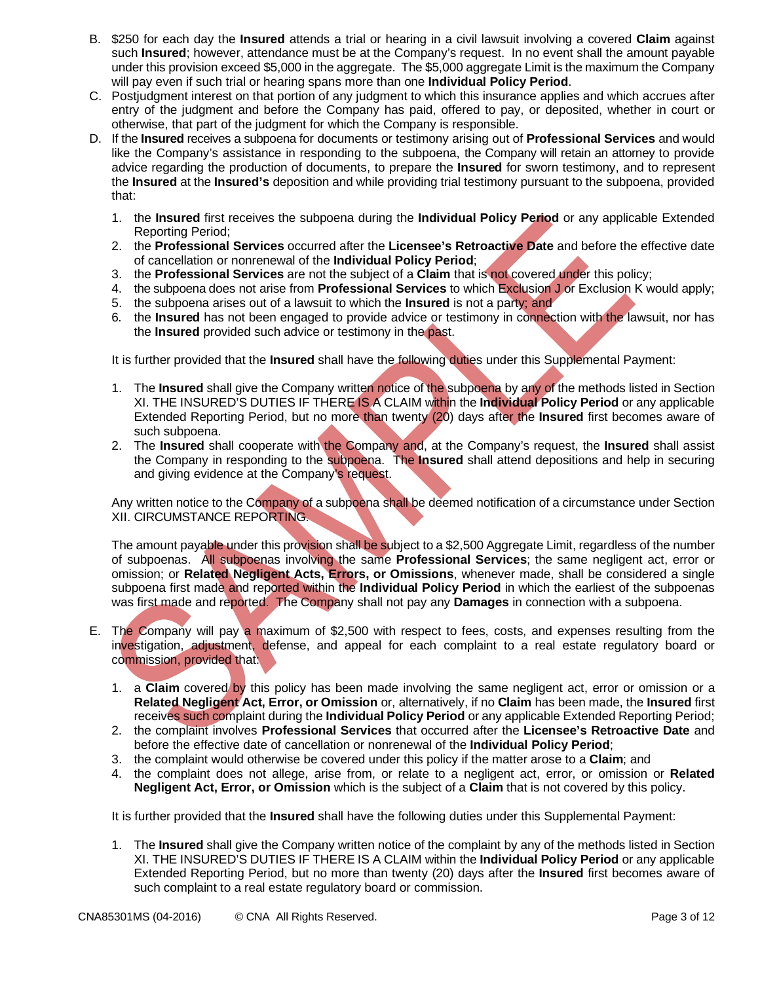- B. \$250 for each day the **Insured** attends a trial or hearing in a civil lawsuit involving a covered **Claim** against such **Insured**; however, attendance must be at the Company's request. In no event shall the amount payable under this provision exceed \$5,000 in the aggregate. The \$5,000 aggregate Limit is the maximum the Company will pay even if such trial or hearing spans more than one **Individual Policy Period**.
- C. Postjudgment interest on that portion of any judgment to which this insurance applies and which accrues after entry of the judgment and before the Company has paid, offered to pay, or deposited, whether in court or otherwise, that part of the judgment for which the Company is responsible.
- D. If the **Insured** receives a subpoena for documents or testimony arising out of **Professional Services** and would like the Company's assistance in responding to the subpoena, the Company will retain an attorney to provide advice regarding the production of documents, to prepare the **Insured** for sworn testimony, and to represent the **Insured** at the **Insured's** deposition and while providing trial testimony pursuant to the subpoena, provided that:
	- 1. the **Insured** first receives the subpoena during the **Individual Policy Period** or any applicable Extended Reporting Period;
	- 2. the **Professional Services** occurred after the **Licensee's Retroactive Date** and before the effective date of cancellation or nonrenewal of the **Individual Policy Period**;
	- 3. the **Professional Services** are not the subject of a **Claim** that is not covered under this policy;
	- 4. the subpoena does not arise from **Professional Services** to which Exclusion J or Exclusion K would apply;
	- 5. the subpoena arises out of a lawsuit to which the **Insured** is not a party; and
	- 6. the **Insured** has not been engaged to provide advice or testimony in connection with the lawsuit, nor has the **Insured** provided such advice or testimony in the past.

It is further provided that the **Insured** shall have the following duties under this Supplemental Payment:

- 1. The **Insured** shall give the Company written notice of the subpoena by any of the methods listed in Section XI. THE INSURED'S DUTIES IF THERE IS A CLAIM within the **Individual Policy Period** or any applicable Extended Reporting Period, but no more than twenty (20) days after the **Insured** first becomes aware of such subpoena.
- 2. The **Insured** shall cooperate with the Company and, at the Company's request, the **Insured** shall assist the Company in responding to the subpoena. The **Insured** shall attend depositions and help in securing and giving evidence at the Company's request.

Any written notice to the Company of a subpoena shall be deemed notification of a circumstance under Section XII. CIRCUMSTANCE REPORTING.

The amount payable under this provision shall be subject to a \$2,500 Aggregate Limit, regardless of the number of subpoenas. All subpoenas involving the same **Professional Services**; the same negligent act, error or omission; or **Related Negligent Acts, Errors, or Omissions**, whenever made, shall be considered a single subpoena first made and reported within the **Individual Policy Period** in which the earliest of the subpoenas was first made and reported. The Company shall not pay any **Damages** in connection with a subpoena.

- E. The Company will pay a maximum of \$2,500 with respect to fees, costs, and expenses resulting from the investigation, adjustment, defense, and appeal for each complaint to a real estate regulatory board or commission, provided that:
	- 1. a **Claim** covered by this policy has been made involving the same negligent act, error or omission or a **Related Negligent Act, Error, or Omission** or, alternatively, if no **Claim** has been made, the **Insured** first receives such complaint during the **Individual Policy Period** or any applicable Extended Reporting Period;
	- 2. the complaint involves **Professional Services** that occurred after the **Licensee's Retroactive Date** and before the effective date of cancellation or nonrenewal of the **Individual Policy Period**;
	- 3. the complaint would otherwise be covered under this policy if the matter arose to a **Claim**; and
	- 4. the complaint does not allege, arise from, or relate to a negligent act, error, or omission or **Related Negligent Act, Error, or Omission** which is the subject of a **Claim** that is not covered by this policy.

It is further provided that the **Insured** shall have the following duties under this Supplemental Payment:

1. The **Insured** shall give the Company written notice of the complaint by any of the methods listed in Section XI. THE INSURED'S DUTIES IF THERE IS A CLAIM within the **Individual Policy Period** or any applicable Extended Reporting Period, but no more than twenty (20) days after the **Insured** first becomes aware of such complaint to a real estate regulatory board or commission.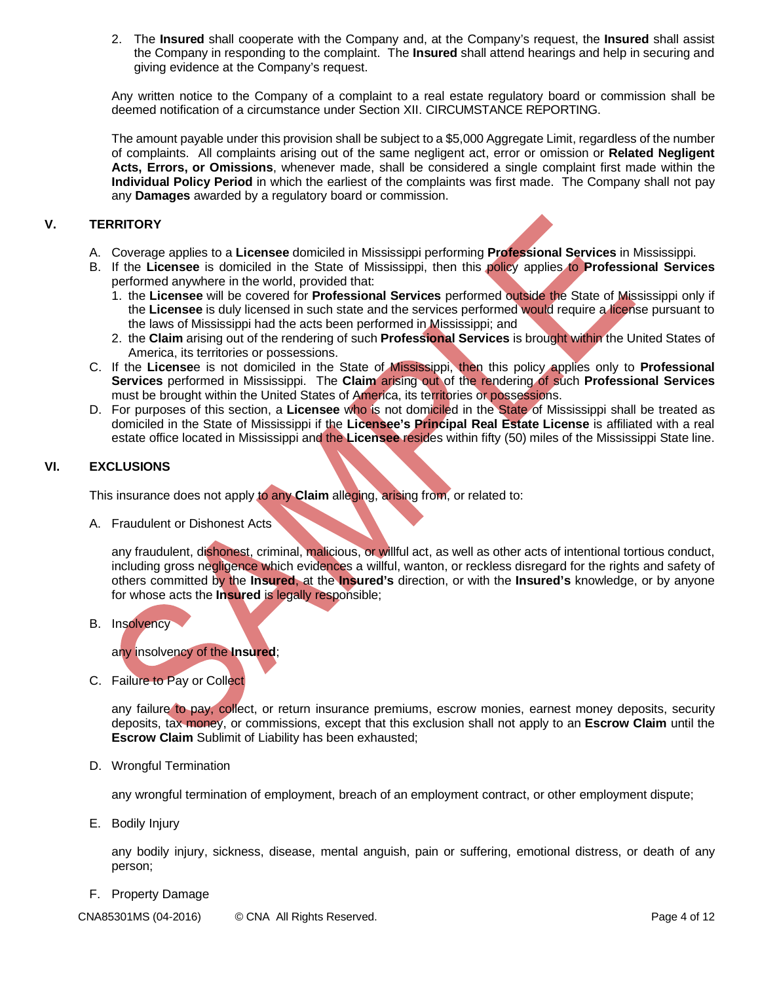2. The **Insured** shall cooperate with the Company and, at the Company's request, the **Insured** shall assist the Company in responding to the complaint. The **Insured** shall attend hearings and help in securing and giving evidence at the Company's request.

Any written notice to the Company of a complaint to a real estate regulatory board or commission shall be deemed notification of a circumstance under Section XII. CIRCUMSTANCE REPORTING.

The amount payable under this provision shall be subject to a \$5,000 Aggregate Limit, regardless of the number of complaints. All complaints arising out of the same negligent act, error or omission or **Related Negligent Acts, Errors, or Omissions**, whenever made, shall be considered a single complaint first made within the **Individual Policy Period** in which the earliest of the complaints was first made. The Company shall not pay any **Damages** awarded by a regulatory board or commission.

# **V. TERRITORY**

- A. Coverage applies to a **Licensee** domiciled in Mississippi performing **Professional Services** in Mississippi.
- B. If the **Licensee** is domiciled in the State of Mississippi, then this policy applies to **Professional Services** performed anywhere in the world, provided that:
	- 1. the **Licensee** will be covered for **Professional Services** performed outside the State of Mississippi only if the **Licensee** is duly licensed in such state and the services performed would require a license pursuant to the laws of Mississippi had the acts been performed in Mississippi; and
	- 2. the **Claim** arising out of the rendering of such **Professional Services** is brought within the United States of America, its territories or possessions.
- C. If the **License**e is not domiciled in the State of Mississippi, then this policy applies only to **Professional Services** performed in Mississippi. The **Claim** arising out of the rendering of such **Professional Services** must be brought within the United States of America, its territories or possessions.
- D. For purposes of this section, a **Licensee** who is not domiciled in the State of Mississippi shall be treated as domiciled in the State of Mississippi if the **Licensee's Principal Real Estate License** is affiliated with a real estate office located in Mississippi and the **Licensee** resides within fifty (50) miles of the Mississippi State line.

# **VI. EXCLUSIONS**

This insurance does not apply to any **Claim** alleging, arising from, or related to:

A. Fraudulent or Dishonest Acts

any fraudulent, dishonest, criminal, malicious, or willful act, as well as other acts of intentional tortious conduct, including gross negligence which evidences a willful, wanton, or reckless disregard for the rights and safety of others committed by the **Insured**, at the **Insured's** direction, or with the **Insured's** knowledge, or by anyone for whose acts the **Insured** is legally responsible;

B. Insolvency

any insolvency of the **Insured**;

C. Failure to Pay or Collect

any failure to pay, collect, or return insurance premiums, escrow monies, earnest money deposits, security deposits, tax money, or commissions, except that this exclusion shall not apply to an **Escrow Claim** until the **Escrow Claim** Sublimit of Liability has been exhausted;

D. Wrongful Termination

any wrongful termination of employment, breach of an employment contract, or other employment dispute;

E. Bodily Injury

any bodily injury, sickness, disease, mental anguish, pain or suffering, emotional distress, or death of any person;

F. Property Damage

CNA85301MS (04-2016) © CNA All Rights Reserved. CNA example 2 and 2 and 2 and 2 and 2 and 2 and 2 and 2 and 2 and 2 and 2 and 2 and 2 and 2 and 2 and 2 and 2 and 2 and 2 and 2 and 2 and 2 and 2 and 2 and 2 and 2 and 2 and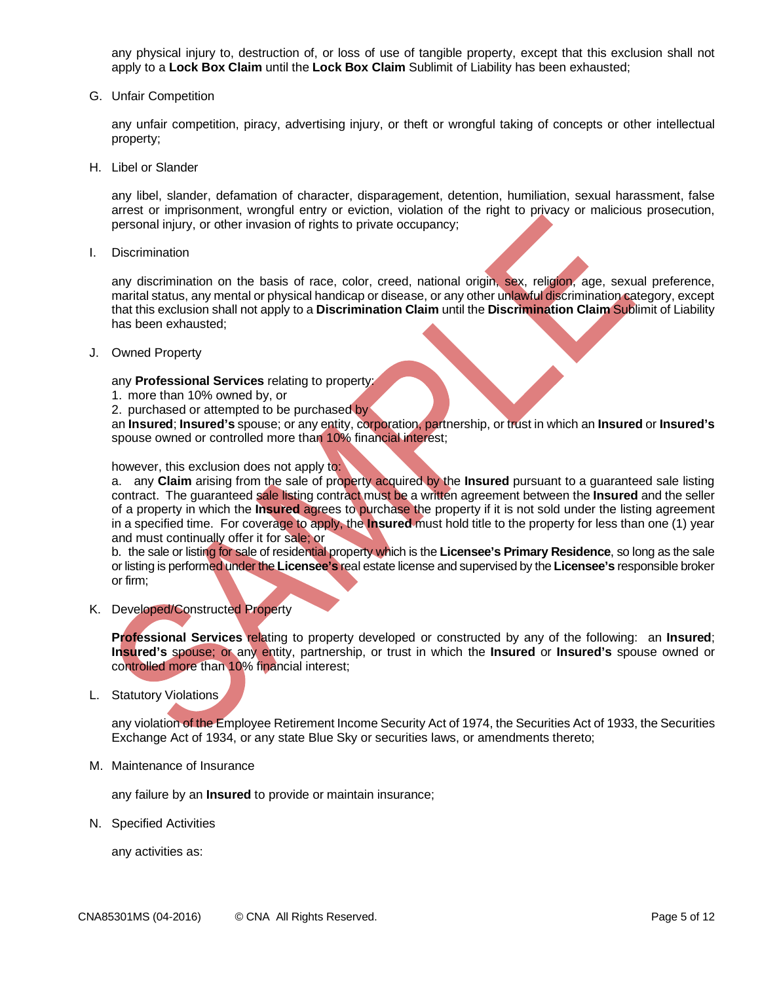any physical injury to, destruction of, or loss of use of tangible property, except that this exclusion shall not apply to a **Lock Box Claim** until the **Lock Box Claim** Sublimit of Liability has been exhausted;

G. Unfair Competition

any unfair competition, piracy, advertising injury, or theft or wrongful taking of concepts or other intellectual property;

H. Libel or Slander

any libel, slander, defamation of character, disparagement, detention, humiliation, sexual harassment, false arrest or imprisonment, wrongful entry or eviction, violation of the right to privacy or malicious prosecution, personal injury, or other invasion of rights to private occupancy;

I. Discrimination

any discrimination on the basis of race, color, creed, national origin, sex, religion, age, sexual preference, marital status, any mental or physical handicap or disease, or any other unlawful discrimination category, except that this exclusion shall not apply to a **Discrimination Claim** until the **Discrimination Claim** Sublimit of Liability has been exhausted;

J. Owned Property

any **Professional Services** relating to property:

- 1. more than 10% owned by, or
- 2. purchased or attempted to be purchased by

an **Insured**; **Insured's** spouse; or any entity, corporation, partnership, or trust in which an **Insured** or **Insured's** spouse owned or controlled more than 10% financial interest;

however, this exclusion does not apply to:

a. any **Claim** arising from the sale of property acquired by the **Insured** pursuant to a guaranteed sale listing contract. The guaranteed sale listing contract must be a written agreement between the **Insured** and the seller of a property in which the **Insured** agrees to purchase the property if it is not sold under the listing agreement in a specified time. For coverage to apply, the **Insured** must hold title to the property for less than one (1) year and must continually offer it for sale; or

b. the sale or listing for sale of residential property which is the **Licensee's Primary Residence**, so long as the sale or listing is performed under the **Licensee's** real estate license and supervised by the **Licensee's** responsible broker or firm;

K. Developed/Constructed Property

**Professional Services** relating to property developed or constructed by any of the following: an **Insured**; **Insured's** spouse; or any entity, partnership, or trust in which the **Insured** or **Insured's** spouse owned or controlled more than 10% financial interest;

L. Statutory Violations

any violation of the Employee Retirement Income Security Act of 1974, the Securities Act of 1933, the Securities Exchange Act of 1934, or any state Blue Sky or securities laws, or amendments thereto;

M. Maintenance of Insurance

any failure by an **Insured** to provide or maintain insurance;

N. Specified Activities

any activities as: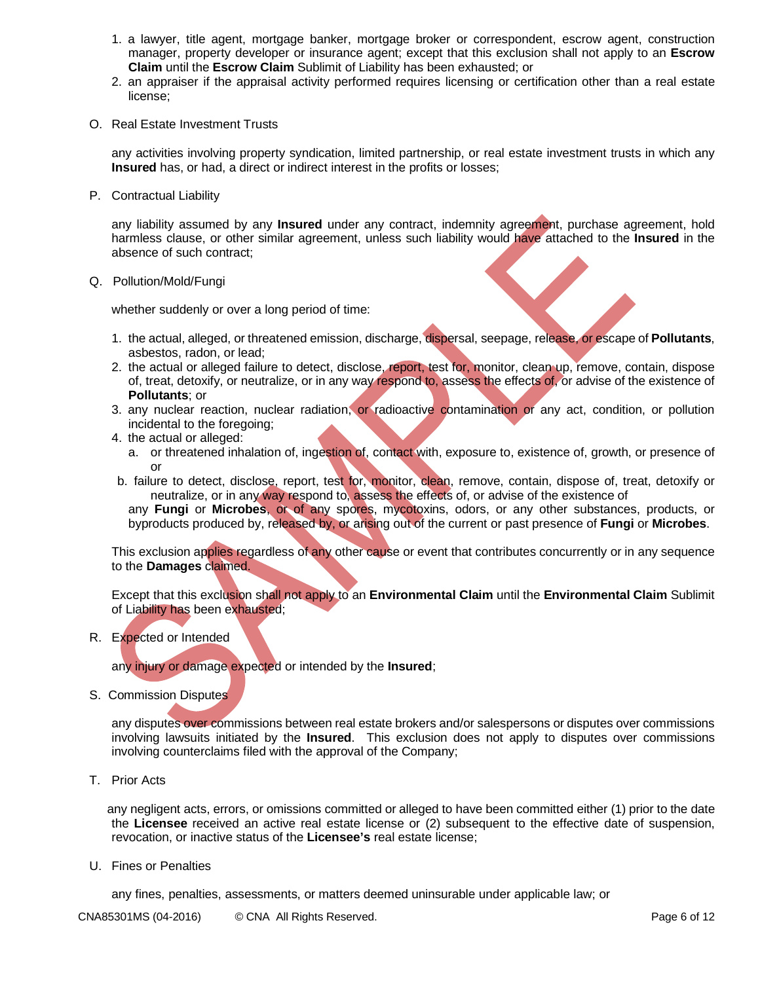- 1. a lawyer, title agent, mortgage banker, mortgage broker or correspondent, escrow agent, construction manager, property developer or insurance agent; except that this exclusion shall not apply to an **Escrow Claim** until the **Escrow Claim** Sublimit of Liability has been exhausted; or
- 2. an appraiser if the appraisal activity performed requires licensing or certification other than a real estate license;
- O. Real Estate Investment Trusts

any activities involving property syndication, limited partnership, or real estate investment trusts in which any **Insured** has, or had, a direct or indirect interest in the profits or losses;

P. Contractual Liability

any liability assumed by any **Insured** under any contract, indemnity agreement, purchase agreement, hold harmless clause, or other similar agreement, unless such liability would have attached to the **Insured** in the absence of such contract;

Q. Pollution/Mold/Fungi

whether suddenly or over a long period of time:

- 1. the actual, alleged, or threatened emission, discharge, dispersal, seepage, release, or escape of **Pollutants**, asbestos, radon, or lead;
- 2. the actual or alleged failure to detect, disclose, report, test for, monitor, clean up, remove, contain, dispose of, treat, detoxify, or neutralize, or in any way respond to, assess the effects of, or advise of the existence of **Pollutants**; or
- 3. any nuclear reaction, nuclear radiation, or radioactive contamination or any act, condition, or pollution incidental to the foregoing;
- 4. the actual or alleged:
	- a. or threatened inhalation of, ingestion of, contact with, exposure to, existence of, growth, or presence of or
- b. failure to detect, disclose, report, test for, monitor, clean, remove, contain, dispose of, treat, detoxify or neutralize, or in any way respond to, assess the effects of, or advise of the existence of

any **Fungi** or **Microbes**, or of any spores, mycotoxins, odors, or any other substances, products, or byproducts produced by, released by, or arising out of the current or past presence of **Fungi** or **Microbes**.

This exclusion applies regardless of any other cause or event that contributes concurrently or in any sequence to the **Damages** claimed.

Except that this exclusion shall not apply to an **Environmental Claim** until the **Environmental Claim** Sublimit of Liability has been exhausted;

R. Expected or Intended

any injury or damage expected or intended by the **Insured**;

S. Commission Disputes

any disputes over commissions between real estate brokers and/or salespersons or disputes over commissions involving lawsuits initiated by the **Insured**. This exclusion does not apply to disputes over commissions involving counterclaims filed with the approval of the Company;

T. Prior Acts

any negligent acts, errors, or omissions committed or alleged to have been committed either (1) prior to the date the **Licensee** received an active real estate license or (2) subsequent to the effective date of suspension, revocation, or inactive status of the **Licensee's** real estate license;

U. Fines or Penalties

any fines, penalties, assessments, or matters deemed uninsurable under applicable law; or

CNA85301MS (04-2016) © CNA All Rights Reserved. CNA And Reserved and Reserved and Reserved and Reserved and Rights Reserved and Rights Reserved and Rights Reserved and Rights Reserved and Rights Reserved and Rights Reserve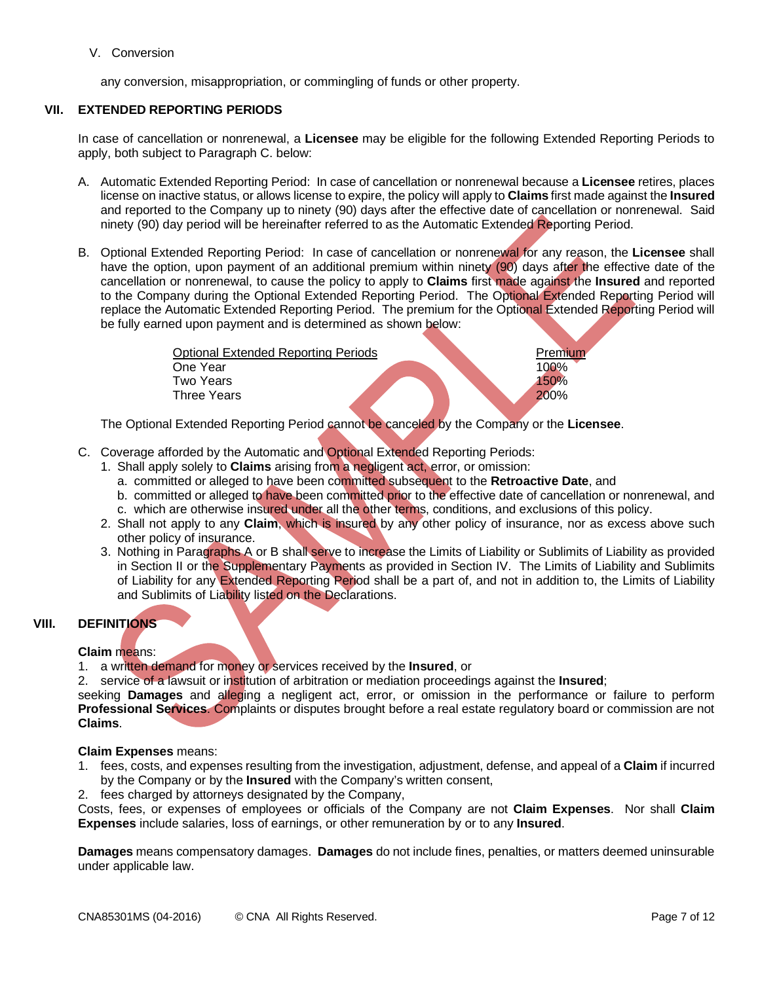## V. Conversion

any conversion, misappropriation, or commingling of funds or other property.

# **VII. EXTENDED REPORTING PERIODS**

In case of cancellation or nonrenewal, a **Licensee** may be eligible for the following Extended Reporting Periods to apply, both subject to Paragraph C. below:

- A. Automatic Extended Reporting Period: In case of cancellation or nonrenewal because a **Licensee** retires, places license on inactive status, or allows license to expire, the policy will apply to **Claims** first made against the **Insured** and reported to the Company up to ninety (90) days after the effective date of cancellation or nonrenewal. Said ninety (90) day period will be hereinafter referred to as the Automatic Extended Reporting Period.
- B. Optional Extended Reporting Period: In case of cancellation or nonrenewal for any reason, the **Licensee** shall have the option, upon payment of an additional premium within ninety (90) days after the effective date of the cancellation or nonrenewal, to cause the policy to apply to **Claims** first made against the **Insured** and reported to the Company during the Optional Extended Reporting Period. The Optional Extended Reporting Period will replace the Automatic Extended Reporting Period. The premium for the Optional Extended Reporting Period will be fully earned upon payment and is determined as shown below:

| <b>Optional Extended Reporting Periods</b> | Premium |
|--------------------------------------------|---------|
| One Year                                   | 100%    |
| Two Years                                  | 150%    |
| Three Years                                | 200%    |
|                                            |         |

The Optional Extended Reporting Period cannot be canceled by the Company or the **Licensee**.

- C. Coverage afforded by the Automatic and Optional Extended Reporting Periods:
	- 1. Shall apply solely to **Claims** arising from a negligent act, error, or omission:
		- a. committed or alleged to have been committed subsequent to the **Retroactive Date**, and
		- b. committed or alleged to have been committed prior to the effective date of cancellation or nonrenewal, and c. which are otherwise insured under all the other terms, conditions, and exclusions of this policy.
	- 2. Shall not apply to any **Claim**, which is insured by any other policy of insurance, nor as excess above such other policy of insurance.
	- 3. Nothing in Paragraphs A or B shall serve to increase the Limits of Liability or Sublimits of Liability as provided in Section II or the Supplementary Payments as provided in Section IV. The Limits of Liability and Sublimits of Liability for any Extended Reporting Period shall be a part of, and not in addition to, the Limits of Liability and Sublimits of Liability listed on the Declarations.

## **VIII. DEFINITIONS**

## **Claim** means:

1. a written demand for money or services received by the **Insured**, or

2. service of a lawsuit or institution of arbitration or mediation proceedings against the **Insured**;

seeking **Damages** and alleging a negligent act, error, or omission in the performance or failure to perform **Professional Services**. Complaints or disputes brought before a real estate regulatory board or commission are not **Claims**.

#### **Claim Expenses** means:

- 1. fees, costs, and expenses resulting from the investigation, adjustment, defense, and appeal of a **Claim** if incurred by the Company or by the **Insured** with the Company's written consent,
- 2. fees charged by attorneys designated by the Company,

Costs, fees, or expenses of employees or officials of the Company are not **Claim Expenses**. Nor shall **Claim Expenses** include salaries, loss of earnings, or other remuneration by or to any **Insured**.

**Damages** means compensatory damages. **Damages** do not include fines, penalties, or matters deemed uninsurable under applicable law.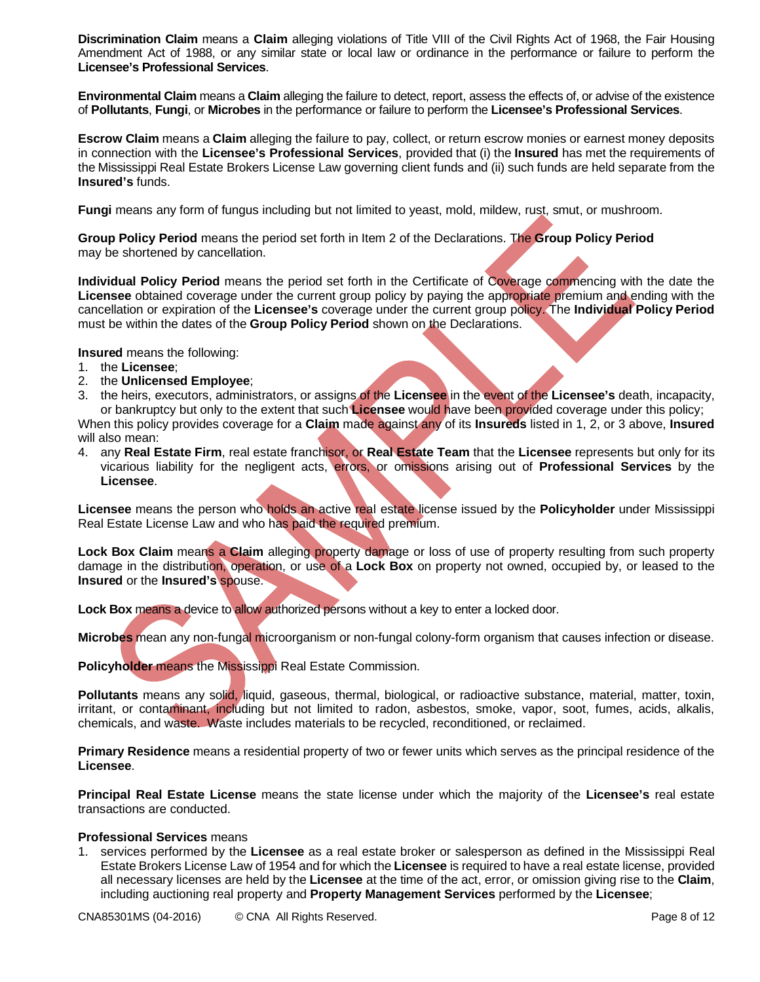**Discrimination Claim** means a **Claim** alleging violations of Title VIII of the Civil Rights Act of 1968, the Fair Housing Amendment Act of 1988, or any similar state or local law or ordinance in the performance or failure to perform the **Licensee's Professional Services**.

**Environmental Claim** means a **Claim** alleging the failure to detect, report, assess the effects of, or advise of the existence of **Pollutants**, **Fungi**, or **Microbes** in the performance or failure to perform the **Licensee's Professional Services**.

**Escrow Claim** means a **Claim** alleging the failure to pay, collect, or return escrow monies or earnest money deposits in connection with the **Licensee's Professional Services**, provided that (i) the **Insured** has met the requirements of the Mississippi Real Estate Brokers License Law governing client funds and (ii) such funds are held separate from the **Insured's** funds.

**Fungi** means any form of fungus including but not limited to yeast, mold, mildew, rust, smut, or mushroom.

**Group Policy Period** means the period set forth in Item 2 of the Declarations. The **Group Policy Period** may be shortened by cancellation.

**Individual Policy Period** means the period set forth in the Certificate of Coverage commencing with the date the **Licensee** obtained coverage under the current group policy by paying the appropriate premium and ending with the cancellation or expiration of the **Licensee's** coverage under the current group policy. The **Individual Policy Period** must be within the dates of the **Group Policy Period** shown on the Declarations.

**Insured** means the following:

- 1. the **Licensee**;
- 2. the **Unlicensed Employee**;
- 3. the heirs, executors, administrators, or assigns of the **Licensee** in the event of the **Licensee's** death, incapacity, or bankruptcy but only to the extent that such **Licensee** would have been provided coverage under this policy;

When this policy provides coverage for a **Claim** made against any of its **Insureds** listed in 1, 2, or 3 above, **Insured** will also mean:

4. any **Real Estate Firm**, real estate franchisor, or **Real Estate Team** that the **Licensee** represents but only for its vicarious liability for the negligent acts, errors, or omissions arising out of **Professional Services** by the **Licensee**.

**Licensee** means the person who holds an active real estate license issued by the **Policyholder** under Mississippi Real Estate License Law and who has paid the required premium.

**Lock Box Claim** means a **Claim** alleging property damage or loss of use of property resulting from such property damage in the distribution, operation, or use of a **Lock Box** on property not owned, occupied by, or leased to the **Insured** or the **Insured's** spouse.

**Lock Box** means a device to allow authorized persons without a key to enter a locked door.

**Microbes** mean any non-fungal microorganism or non-fungal colony-form organism that causes infection or disease.

**Policyholder** means the Mississippi Real Estate Commission.

**Pollutants** means any solid, liquid, gaseous, thermal, biological, or radioactive substance, material, matter, toxin, irritant, or contaminant, including but not limited to radon, asbestos, smoke, vapor, soot, fumes, acids, alkalis, chemicals, and waste. Waste includes materials to be recycled, reconditioned, or reclaimed.

**Primary Residence** means a residential property of two or fewer units which serves as the principal residence of the **Licensee**.

**Principal Real Estate License** means the state license under which the majority of the **Licensee's** real estate transactions are conducted.

## **Professional Services** means

1. services performed by the **Licensee** as a real estate broker or salesperson as defined in the Mississippi Real Estate Brokers License Law of 1954 and for which the **Licensee** is required to have a real estate license, provided all necessary licenses are held by the **Licensee** at the time of the act, error, or omission giving rise to the **Claim**, including auctioning real property and **Property Management Services** performed by the **Licensee**;

CNA85301MS (04-2016) © CNA All Rights Reserved. CNA And Reserved and Reserved and Reserved and Reserved and Rights Reserved and Rights Reserved and Rights Reserved and Rights Reserved and Rights Reserved and Rights Reserve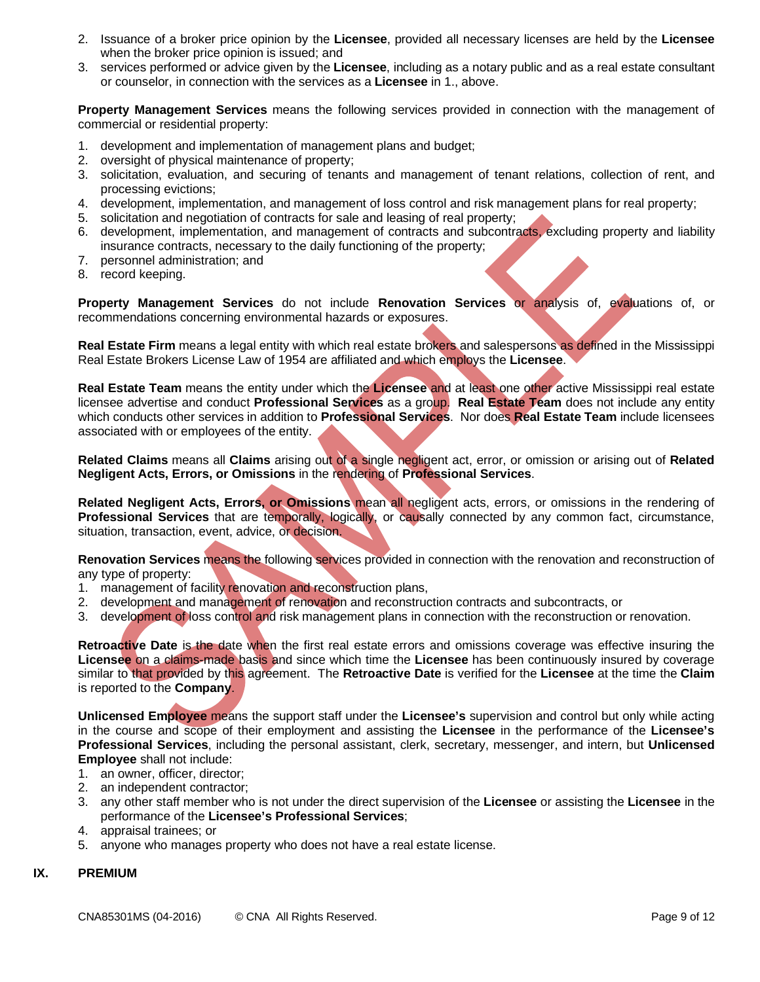- 2. Issuance of a broker price opinion by the **Licensee**, provided all necessary licenses are held by the **Licensee** when the broker price opinion is issued; and
- 3. services performed or advice given by the **Licensee**, including as a notary public and as a real estate consultant or counselor, in connection with the services as a **Licensee** in 1., above.

**Property Management Services** means the following services provided in connection with the management of commercial or residential property:

- 1. development and implementation of management plans and budget;
- 2. oversight of physical maintenance of property;
- 3. solicitation, evaluation, and securing of tenants and management of tenant relations, collection of rent, and processing evictions;
- 4. development, implementation, and management of loss control and risk management plans for real property;
- 5. solicitation and negotiation of contracts for sale and leasing of real property;
- 6. development, implementation, and management of contracts and subcontracts, excluding property and liability insurance contracts, necessary to the daily functioning of the property;
- 7. personnel administration; and
- 8. record keeping.

**Property Management Services** do not include **Renovation Services** or analysis of, evaluations of, or recommendations concerning environmental hazards or exposures.

**Real Estate Firm** means a legal entity with which real estate brokers and salespersons as defined in the Mississippi Real Estate Brokers License Law of 1954 are affiliated and which employs the **Licensee**.

**Real Estate Team** means the entity under which the **Licensee** and at least one other active Mississippi real estate licensee advertise and conduct **Professional Services** as a group. **Real Estate Team** does not include any entity which conducts other services in addition to **Professional Services**. Nor does **Real Estate Team** include licensees associated with or employees of the entity.

**Related Claims** means all **Claims** arising out of a single negligent act, error, or omission or arising out of **Related Negligent Acts, Errors, or Omissions** in the rendering of **Professional Services**.

**Related Negligent Acts, Errors, or Omissions** mean all negligent acts, errors, or omissions in the rendering of **Professional Services** that are temporally, logically, or causally connected by any common fact, circumstance, situation, transaction, event, advice, or decision.

**Renovation Services** means the following services provided in connection with the renovation and reconstruction of any type of property:

- 1. management of facility renovation and reconstruction plans,
- 2. development and management of renovation and reconstruction contracts and subcontracts, or
- 3. development of loss control and risk management plans in connection with the reconstruction or renovation.

**Retroactive Date** is the date when the first real estate errors and omissions coverage was effective insuring the **Licensee** on a claims-made basis and since which time the **Licensee** has been continuously insured by coverage similar to that provided by this agreement. The **Retroactive Date** is verified for the **Licensee** at the time the **Claim** is reported to the **Company**.

**Unlicensed Employee** means the support staff under the **Licensee's** supervision and control but only while acting in the course and scope of their employment and assisting the **Licensee** in the performance of the **Licensee's Professional Services**, including the personal assistant, clerk, secretary, messenger, and intern, but **Unlicensed Employee** shall not include:

- 1. an owner, officer, director;
- 2. an independent contractor;
- 3. any other staff member who is not under the direct supervision of the **Licensee** or assisting the **Licensee** in the performance of the **Licensee's Professional Services**;
- 4. appraisal trainees; or
- 5. anyone who manages property who does not have a real estate license.

## **IX. PREMIUM**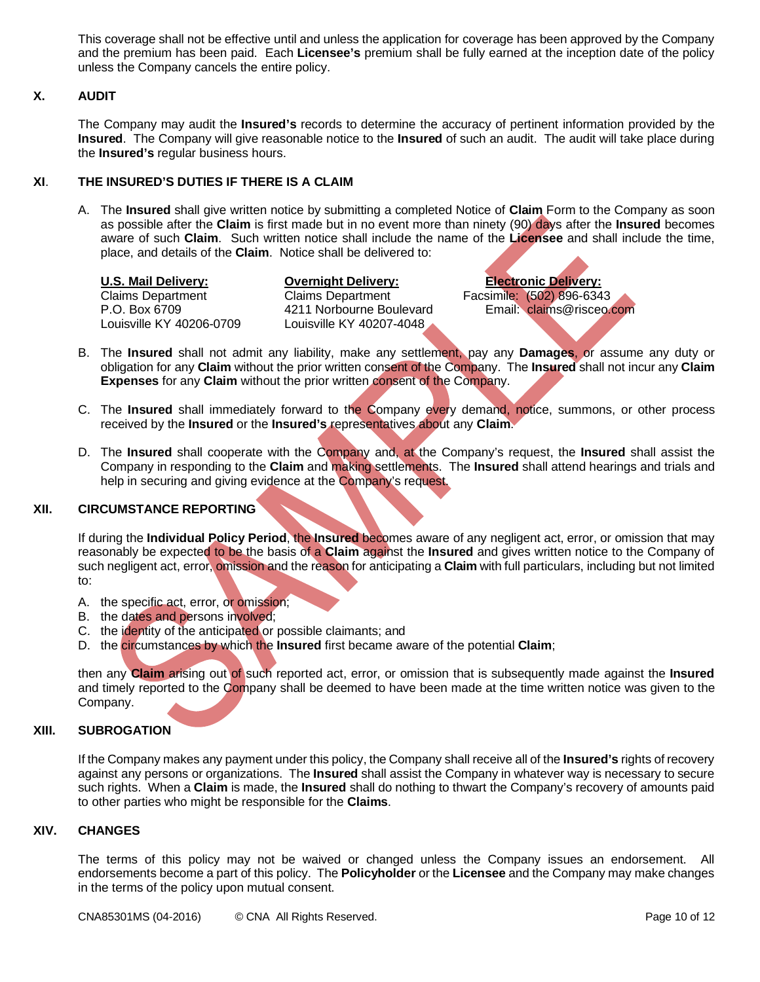This coverage shall not be effective until and unless the application for coverage has been approved by the Company and the premium has been paid. Each **Licensee's** premium shall be fully earned at the inception date of the policy unless the Company cancels the entire policy.

# **X. AUDIT**

The Company may audit the **Insured's** records to determine the accuracy of pertinent information provided by the **Insured**. The Company will give reasonable notice to the **Insured** of such an audit. The audit will take place during the **Insured's** regular business hours.

# **XI**. **THE INSURED'S DUTIES IF THERE IS A CLAIM**

A. The **Insured** shall give written notice by submitting a completed Notice of **Claim** Form to the Company as soon as possible after the **Claim** is first made but in no event more than ninety (90) days after the **Insured** becomes aware of such **Claim**. Such written notice shall include the name of the **Licensee** and shall include the time, place, and details of the **Claim**. Notice shall be delivered to:

**U.S. Mail Delivery: Overnight Delivery: Electronic Delivery:**

Claims Department Claims Department Facsimile: (502) 896-6343 Louisville KY 40206-0709 Louisville KY 40207-4048

P.O. Box 6709 4211 Norbourne Boulevard Email: claims@risceo.com

- B. The **Insured** shall not admit any liability, make any settlement, pay any **Damages**, or assume any duty or obligation for any **Claim** without the prior written consent of the Company. The **Insured** shall not incur any **Claim Expenses** for any **Claim** without the prior written consent of the Company.
- C. The **Insured** shall immediately forward to the Company every demand, notice, summons, or other process received by the **Insured** or the **Insured's** representatives about any **Claim**.
- D. The **Insured** shall cooperate with the Company and, at the Company's request, the **Insured** shall assist the Company in responding to the **Claim** and making settlements. The **Insured** shall attend hearings and trials and help in securing and giving evidence at the Company's request.

## **XII. CIRCUMSTANCE REPORTING**

If during the **Individual Policy Period**, the **Insured** becomes aware of any negligent act, error, or omission that may reasonably be expected to be the basis of a **Claim** against the **Insured** and gives written notice to the Company of such negligent act, error, omission and the reason for anticipating a **Claim** with full particulars, including but not limited to:

- A. the specific act, error, or omission;
- B. the dates and persons involved;
- C. the identity of the anticipated or possible claimants; and
- D. the circumstances by which the **Insured** first became aware of the potential **Claim**;

then any **Claim** arising out of such reported act, error, or omission that is subsequently made against the **Insured** and timely reported to the Company shall be deemed to have been made at the time written notice was given to the Company.

# **XIII. SUBROGATION**

If the Company makes any payment under this policy, the Company shall receive all of the **Insured's** rights of recovery against any persons or organizations. The **Insured** shall assist the Company in whatever way is necessary to secure such rights. When a **Claim** is made, the **Insured** shall do nothing to thwart the Company's recovery of amounts paid to other parties who might be responsible for the **Claims**.

## **XIV. CHANGES**

The terms of this policy may not be waived or changed unless the Company issues an endorsement. All endorsements become a part of this policy. The **Policyholder** or the **Licensee** and the Company may make changes in the terms of the policy upon mutual consent.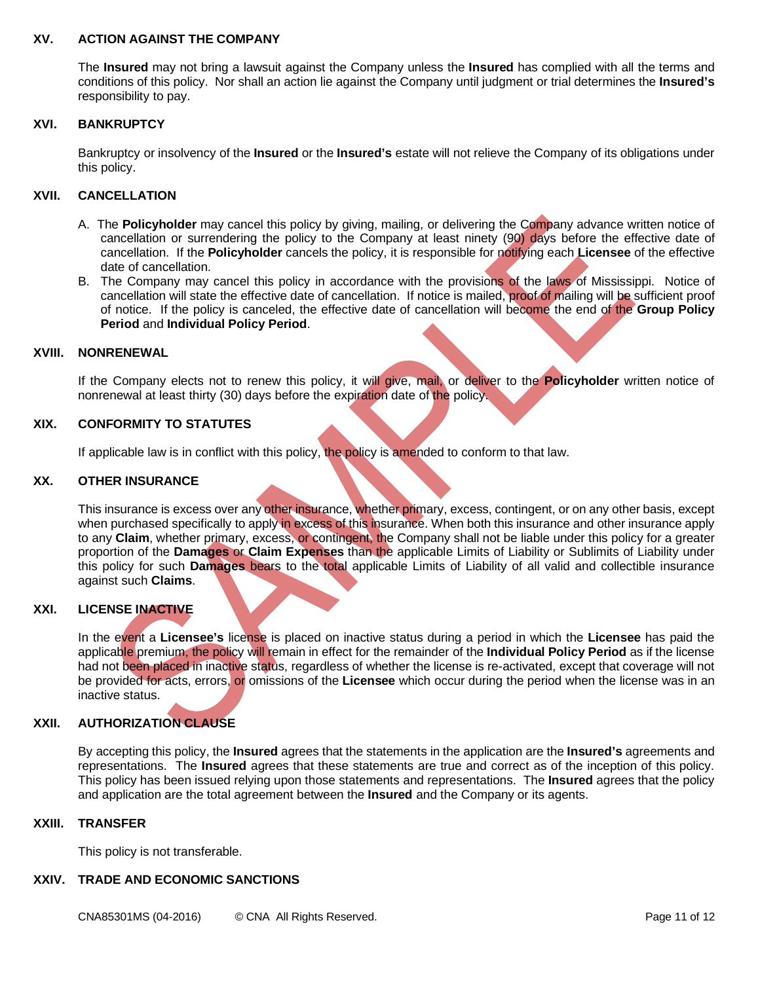#### **XV. ACTION AGAINST THE COMPANY**

The **Insured** may not bring a lawsuit against the Company unless the **Insured** has complied with all the terms and conditions of this policy. Nor shall an action lie against the Company until judgment or trial determines the **Insured's** responsibility to pay.

#### **XVI. BANKRUPTCY**

Bankruptcy or insolvency of the **Insured** or the **Insured's** estate will not relieve the Company of its obligations under this policy.

## **XVII. CANCELLATION**

- A. The **Policyholder** may cancel this policy by giving, mailing, or delivering the Company advance written notice of cancellation or surrendering the policy to the Company at least ninety (90) days before the effective date of cancellation. If the **Policyholder** cancels the policy, it is responsible for notifying each **Licensee** of the effective date of cancellation.
- B. The Company may cancel this policy in accordance with the provisions of the laws of Mississippi. Notice of cancellation will state the effective date of cancellation. If notice is mailed, proof of mailing will be sufficient proof of notice. If the policy is canceled, the effective date of cancellation will become the end of the **Group Policy Period** and **Individual Policy Period**.

#### **XVIII. NONRENEWAL**

If the Company elects not to renew this policy, it will give, mail, or deliver to the **Policyholder** written notice of nonrenewal at least thirty (30) days before the expiration date of the policy.

## **XIX. CONFORMITY TO STATUTES**

If applicable law is in conflict with this policy, the policy is amended to conform to that law.

#### **XX. OTHER INSURANCE**

This insurance is excess over any other insurance, whether primary, excess, contingent, or on any other basis, except when purchased specifically to apply in excess of this insurance. When both this insurance and other insurance apply to any **Claim**, whether primary, excess, or contingent, the Company shall not be liable under this policy for a greater proportion of the **Damages** or **Claim Expenses** than the applicable Limits of Liability or Sublimits of Liability under this policy for such **Damages** bears to the total applicable Limits of Liability of all valid and collectible insurance against such **Claims**.

#### **XXI. LICENSE INACTIVE**

In the event a **Licensee's** license is placed on inactive status during a period in which the **Licensee** has paid the applicable premium, the policy will remain in effect for the remainder of the **Individual Policy Period** as if the license had not been placed in inactive status, regardless of whether the license is re-activated, except that coverage will not be provided for acts, errors, or omissions of the **Licensee** which occur during the period when the license was in an inactive status.

## **XXII. AUTHORIZATION CLAUSE**

By accepting this policy, the **Insured** agrees that the statements in the application are the **Insured's** agreements and representations. The **Insured** agrees that these statements are true and correct as of the inception of this policy. This policy has been issued relying upon those statements and representations. The **Insured** agrees that the policy and application are the total agreement between the **Insured** and the Company or its agents.

#### **XXIII. TRANSFER**

This policy is not transferable.

#### **XXIV. TRADE AND ECONOMIC SANCTIONS**

CNA85301MS (04-2016) © CNA All Rights Reserved. Page 11 of 12